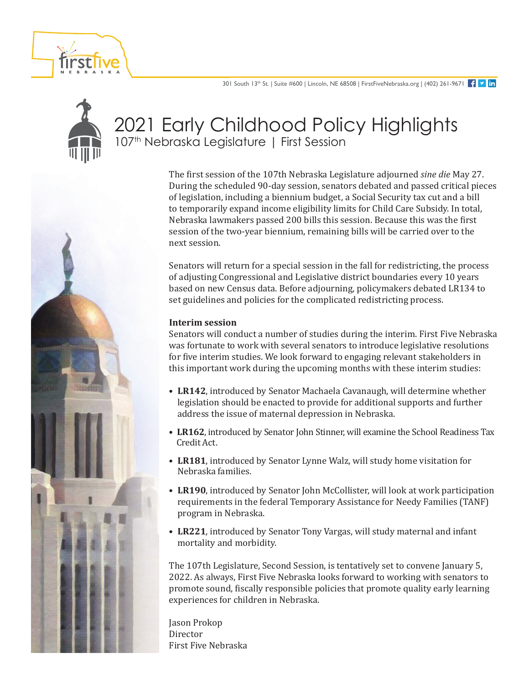



# 2021 Early Childhood Policy Highlights 107<sup>th</sup> Nebraska Legislature | First Session

The first session of the 107th Nebraska Legislature adjourned *sine die* May 27. During the scheduled 90-day session, senators debated and passed critical pieces of legislation, including a biennium budget, a Social Security tax cut and a bill to temporarily expand income eligibility limits for Child Care Subsidy. In total, Nebraska lawmakers passed 200 bills this session. Because this was the first session of the two-year biennium, remaining bills will be carried over to the next session.

Senators will return for a special session in the fall for redistricting, the process of adjusting Congressional and Legislative district boundaries every 10 years based on new Census data. Before adjourning, policymakers debated LR134 to set guidelines and policies for the complicated redistricting process.

#### **Interim session**

Senators will conduct a number of studies during the interim. First Five Nebraska was fortunate to work with several senators to introduce legislative resolutions for five interim studies. We look forward to engaging relevant stakeholders in this important work during the upcoming months with these interim studies:

- **LR142**, introduced by Senator Machaela Cavanaugh, will determine whether legislation should be enacted to provide for additional supports and further address the issue of maternal depression in Nebraska.
- **LR162**, introduced by Senator John Stinner, will examine the School Readiness Tax Credit Act.
- **LR181**, introduced by Senator Lynne Walz, will study home visitation for Nebraska families.
- **LR190**, introduced by Senator John McCollister, will look at work participation requirements in the federal Temporary Assistance for Needy Families (TANF) program in Nebraska.
- **LR221**, introduced by Senator Tony Vargas, will study maternal and infant mortality and morbidity.

The 107th Legislature, Second Session, is tentatively set to convene January 5, 2022. As always, First Five Nebraska looks forward to working with senators to promote sound, fiscally responsible policies that promote quality early learning experiences for children in Nebraska.

Jason Prokop **Director** First Five Nebraska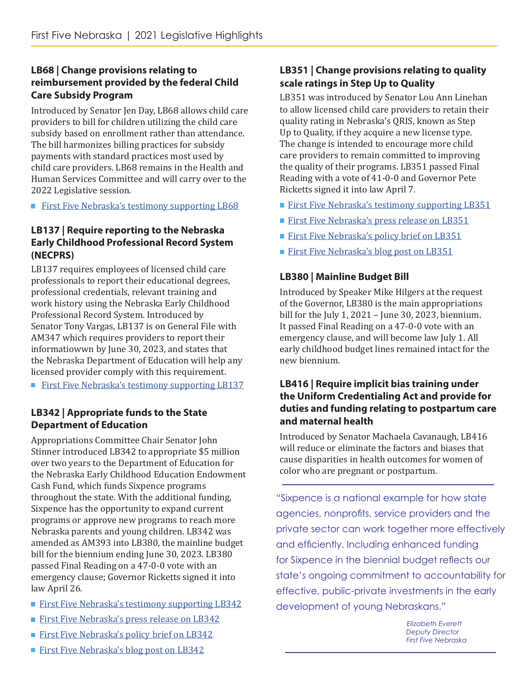## **LB68 | Change provisions relating to reimbursement provided by the federal Child Care Subsidy Program**

Introduced by Senator Jen Day, LB68 allows child care providers to bill for children utilizing the child care subsidy based on enrollment rather than attendance. The bill harmonizes billing practices for subsidy payments with standard practices most used by child care providers. LB68 remains in the Health and Human Services Committee and will carry over to the 2022 Legislative session.

**[First Five Nebraska's testimony supporting LB68](https://www.firstfivenebraska.org/wp-content/uploads/2021/12/LB68-FFN-Testimony-02.10.2021.pdf)** 

## **LB137 | Require reporting to the Nebraska Early Childhood Professional Record System (NECPRS)**

LB137 requires employees of licensed child care professionals to report their educational degrees, professional credentials, relevant training and work history using the Nebraska Early Childhood Professional Record System. Introduced by Senator Tony Vargas, LB137 is on General File with AM347 which requires providers to report their informatiowwn by June 30, 2023, and states that the Nebraska Department of Education will help any licensed provider comply with this requirement.

**[First Five Nebraska's testimony supporting LB137](https://www.firstfivenebraska.org/wp-content/uploads/2021/12/LB137-FFN-Letter-of-Support-Final-01.25.2021.pdf)** 

## **LB342 | Appropriate funds to the State Department of Education**

Appropriations Committee Chair Senator John Stinner introduced LB342 to appropriate \$5 million over two years to the Department of Education for the Nebraska Early Childhood Education Endowment Cash Fund, which funds Sixpence programs throughout the state. With the additional funding, Sixpence has the opportunity to expand current programs or approve new programs to reach more Nebraska parents and young children. LB342 was amended as AM393 into LB380, the mainline budget bill for the biennium ending June 30, 2023. LB380 passed Final Reading on a 47-0-0 vote with an emergency clause; Governor Ricketts signed it into law April 26.

- **[First Five Nebraska's testimony supporting LB342](https://www.firstfivenebraska.org/wp-content/uploads/2021/12/FINAL-Testimony-LB342-EE-1.pdf)**
- **[First Five Nebraska's press release on LB342](https://www.firstfivenebraska.org/wp-content/uploads/2021/12/Sixpence_State-Budget-Press-Release-4.1.21-FINAL.pdf)**
- **[First Five Nebraska's policy brief on LB342](https://www.firstfivenebraska.org/wp-content/uploads/2021/12/LB342-Policy-Brief_Sixpence_2.19.21.pdf)**

#### Up to Quality, if they acquire a new license type. The change is intended to encourage more child care providers to remain committed to improving

the quality of their programs. LB351 passed Final Reading with a vote of 41-0-0 and Governor Pete Ricketts signed it into law April 7.

**LB351 | Change provisions relating to quality** 

LB351 was introduced by Senator Lou Ann Linehan to allow licensed child care providers to retain their quality rating in Nebraska's QRIS, known as Step

**scale ratings in Step Up to Quality**

- **[First Five Nebraska's testimony supporting LB351](https://www.firstfivenebraska.org/wp-content/uploads/2021/12/LB351-FFN-Letter-of-Support-01.29.2021.pdf)**
- **[First Five Nebraska's press release on LB351](https://www.firstfivenebraska.org/wp-content/uploads/2021/12/LB351Press-Release-Final-04.07.2021.pdf)**
- **[First Five Nebraska's policy brief on LB351](https://www.firstfivenebraska.org/wp-content/uploads/2021/07/Policy_Brief_LB351-Step-Up-to-Quality_Final_2.3.21_edit.pdf)**
- [First Five Nebraska's blog post on LB351](https://www.firstfivenebraska.org/blog/lb351-becomes-law-promotes-child-care-quality-and-capacity-in-nebraska/)

## **LB380 | Mainline Budget Bill**

Introduced by Speaker Mike Hilgers at the request of the Governor, LB380 is the main appropriations bill for the July 1, 2021 – June 30, 2023, biennium. It passed Final Reading on a 47-0-0 vote with an emergency clause, and will become law July 1. All early childhood budget lines remained intact for the new biennium.

#### **LB416 | Require implicit bias training under the Uniform Credentialing Act and provide for duties and funding relating to postpartum care and maternal health**

Introduced by Senator Machaela Cavanaugh, LB416 will reduce or eliminate the factors and biases that cause disparities in health outcomes for women of color who are pregnant or postpartum.

"Sixpence is a national example for how state agencies, nonprofits, service providers and the private sector can work together more effectively and efficiently. Including enhanced funding for Sixpence in the biennial budget reflects our state's ongoing commitment to accountability for effective, public-private investments in the early development of young Nebraskans."

> *Elizabeth Everett Deputy Director First Five Nebraska*

**[First Five Nebraska's blog post on LB342](http://www.firstfivenebraska.org/blog/article/state-budget-proposal-includes-additional-investments-in-sixpence#.YMuaO2hKjIU)**